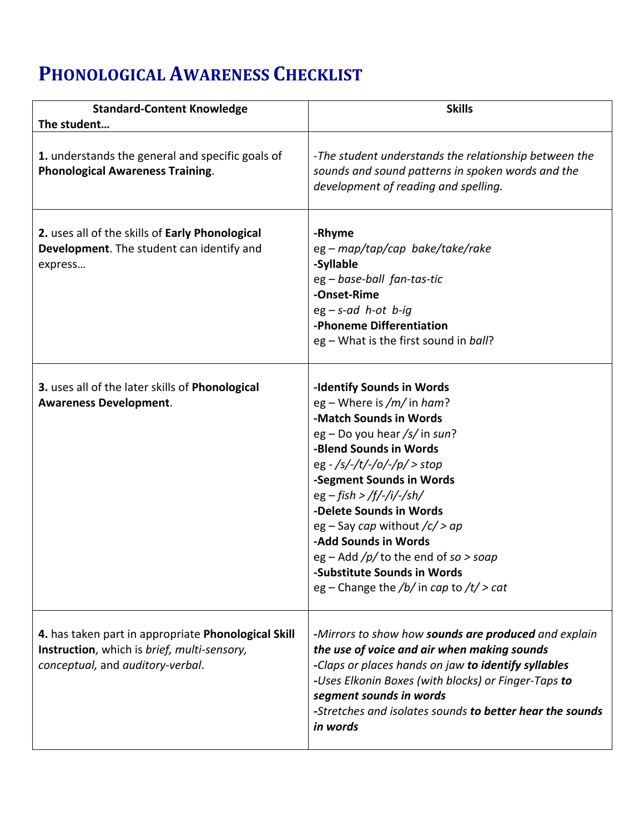## **PHONOLOGICAL AWARENESS CHECKLIST**

| <b>Standard-Content Knowledge</b>                                                                                                      | <b>Skills</b>                                                                                                                                                                                                                                                                                                                                                                                                                                       |
|----------------------------------------------------------------------------------------------------------------------------------------|-----------------------------------------------------------------------------------------------------------------------------------------------------------------------------------------------------------------------------------------------------------------------------------------------------------------------------------------------------------------------------------------------------------------------------------------------------|
| The student                                                                                                                            |                                                                                                                                                                                                                                                                                                                                                                                                                                                     |
| 1. understands the general and specific goals of<br><b>Phonological Awareness Training.</b>                                            | -The student understands the relationship between the<br>sounds and sound patterns in spoken words and the<br>development of reading and spelling.                                                                                                                                                                                                                                                                                                  |
| 2. uses all of the skills of Early Phonological<br>Development. The student can identify and<br>express                                | -Rhyme<br>eg – map/tap/cap bake/take/rake<br>-Syllable<br>eg - base-ball fan-tas-tic<br>-Onset-Rime<br>$eg - s - ad$ h-ot b-ig<br>-Phoneme Differentiation<br>eg - What is the first sound in ball?                                                                                                                                                                                                                                                 |
| 3. uses all of the later skills of Phonological<br><b>Awareness Development.</b>                                                       | -Identify Sounds in Words<br>eg – Where is /m/ in ham?<br>-Match Sounds in Words<br>eg - Do you hear /s/ in sun?<br>-Blend Sounds in Words<br>eg - /s/-/t/-/o/-/p/ > stop<br>-Segment Sounds in Words<br>$eg - fish > /f/$ -/i/-/sh/<br>-Delete Sounds in Words<br>eg – Say cap without $\sqrt{c}$ > ap<br>-Add Sounds in Words<br>eg – Add $/p/$ to the end of so > soap<br>-Substitute Sounds in Words<br>eg – Change the /b/ in cap to /t/ > cat |
| 4. has taken part in appropriate Phonological Skill<br>Instruction, which is brief, multi-sensory,<br>conceptual, and auditory-verbal. | -Mirrors to show how <b>sounds are produced</b> and explain<br>the use of voice and air when making sounds<br>-Claps or places hands on jaw to identify syllables<br>-Uses Elkonin Boxes (with blocks) or Finger-Taps to<br>segment sounds in words<br>-Stretches and isolates sounds to better hear the sounds<br>in words                                                                                                                         |